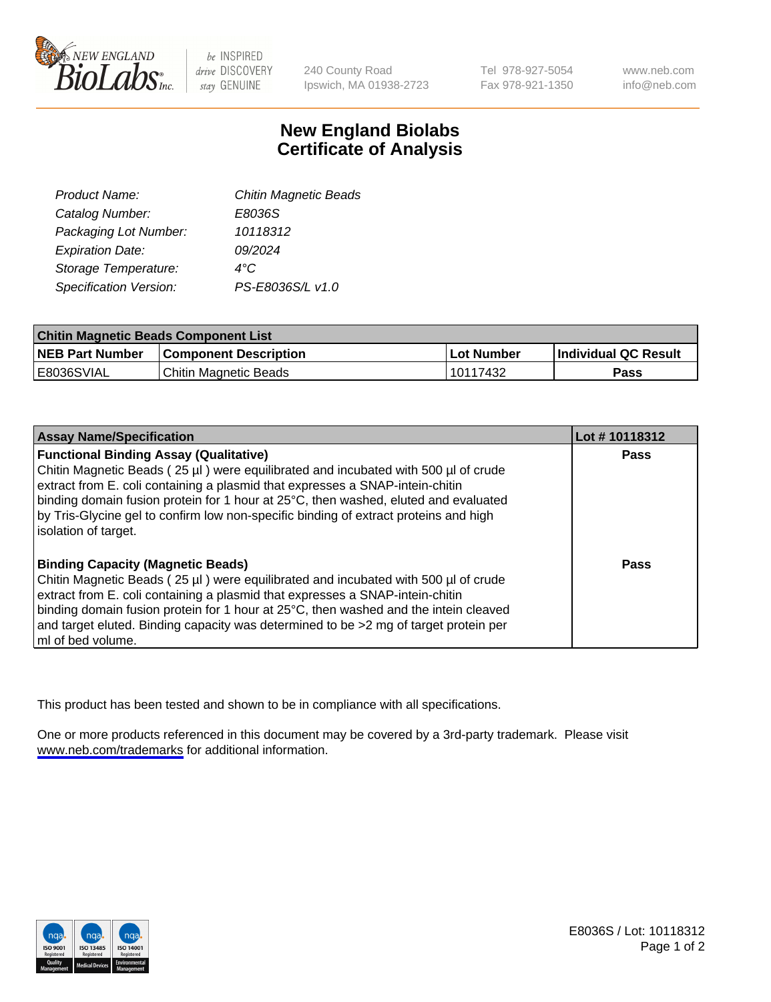

be INSPIRED drive DISCOVERY stay GENUINE

240 County Road Ipswich, MA 01938-2723 Tel 978-927-5054 Fax 978-921-1350

www.neb.com info@neb.com

## **New England Biolabs Certificate of Analysis**

| <b>Chitin Magnetic Beads</b> |
|------------------------------|
| E8036S                       |
| 10118312                     |
| 09/2024                      |
| 4°C                          |
| PS-E8036S/L v1.0             |
|                              |

| <b>Chitin Magnetic Beads Component List</b> |                              |            |                      |  |
|---------------------------------------------|------------------------------|------------|----------------------|--|
| <b>NEB Part Number</b>                      | <b>Component Description</b> | Lot Number | Individual QC Result |  |
| I E8036SVIAL                                | Chitin Magnetic Beads        | 10117432   | Pass                 |  |

| <b>Assay Name/Specification</b>                                                                                                                                                                                                                                                                                                                                                                                      | Lot #10118312 |
|----------------------------------------------------------------------------------------------------------------------------------------------------------------------------------------------------------------------------------------------------------------------------------------------------------------------------------------------------------------------------------------------------------------------|---------------|
| <b>Functional Binding Assay (Qualitative)</b><br>Chitin Magnetic Beads (25 µl) were equilibrated and incubated with 500 µl of crude<br>extract from E. coli containing a plasmid that expresses a SNAP-intein-chitin                                                                                                                                                                                                 | <b>Pass</b>   |
| binding domain fusion protein for 1 hour at 25°C, then washed, eluted and evaluated<br>by Tris-Glycine gel to confirm low non-specific binding of extract proteins and high<br>solation of target.                                                                                                                                                                                                                   |               |
| <b>Binding Capacity (Magnetic Beads)</b><br>Chitin Magnetic Beads (25 µl) were equilibrated and incubated with 500 µl of crude<br>extract from E. coli containing a plasmid that expresses a SNAP-intein-chitin<br>binding domain fusion protein for 1 hour at 25°C, then washed and the intein cleaved<br>and target eluted. Binding capacity was determined to be >2 mg of target protein per<br>ml of bed volume. | Pass          |

This product has been tested and shown to be in compliance with all specifications.

One or more products referenced in this document may be covered by a 3rd-party trademark. Please visit <www.neb.com/trademarks>for additional information.